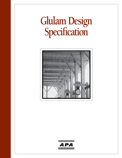# **Glulam Design Specifi cation**



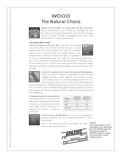# WOOD The Natural Choice



*Engineered wood products are a good choice for the environment.*  They are manufactured for years of trouble-free, dependable use. They help reduce waste by decreasing disposal costs and product damage. Wood is a renewable, recyclable, biodegradable resource that is easily manufactured into a variety of viable products.

#### A few facts about wood.

■ *We're growing more wood every day.* Forests fully cover one-third of the United States' and one-half of Canada's land mass. American landowners plant more than two billion trees every year. In addition, millions of trees seed naturally. The forest products industry, which comprises about 15 percent of forestland ownership, is responsible for



41 percent of replanted forest acreage. That works out to more than one billion trees a year, or about three million trees planted every day. This high rate of replanting accounts for the fact that each year, 27 percent more timber is grown than is harvested. Canada's replanting record shows a fourfold increase in the number of trees planted between 1975 and 1990.



■ Life Cycle Assessment shows wood is the greenest building product. A 2004 Consortium for Research on Renewable Industrial Materials (CORRIM) study gave scientific validation to the strength of wood as a green building product. In examining building products' life cycles

– from extraction of the raw material to demolition of the building at the

end of its long lifespan – CORRIM found that wood was better for the environment than steel or concrete in terms of embodied energy, global warming potential, air emissions, water emissions and solid waste production. For the complete details of the report, visit www.CORRIM.org.

■ *Manufacturing wood is energy efficient.*  Wood products made up 47 percent of all industrial raw materials manufactured in the United States, yet consumed only 4 percent of the energy needed to manufacture all industrial raw materials, according to

| Material | Percent of<br>Production | Percent of<br><b>Energy Use</b> |
|----------|--------------------------|---------------------------------|
| Wood     |                          |                                 |
| Steel    | 23                       | 48                              |
| Aluminum | 7                        | 8                               |



a 1987 study.

■ *Good news for a healthy planet.* For every ton of wood grown, a young forest produces 1.07 tons of oxygen and absorbs 1.47 tons of carbon dioxide.

Wood: It's the natural choice for the environment, for design and for strong, lasting construction.



*NOTICE:* 

*The recommendations in this report apply only to glulam that bears the APA-EWS trademark. Only glulam bearing the APA-EWS trademark is subject to the Association's quality*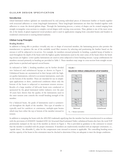#### GLULAM DESIGN SPECIFICATION

#### Introduction

Glued laminated timbers (glulam) are manufactured by end joining individual pieces of dimension lumber or boards together with structural adhesives to create long-length laminations. These long-length laminations are then face bonded together with adhesives to create the desired glulam shape. Through the laminating process, a variety of shapes can be created ranging from straight rectangular cross-sections to complex curved shapes with varying cross-sections. Thus, glulam is one of the most versatile of the family of glued engineered wood products and is used in applications ranging from concealed beams and headers in residential construction to soaring domed stadiums.

#### Glulam Layup Principles

#### *Bending Members*

In addition to being able to produce virtually any size or shape of structural member, the laminating process also permits the manufacturer to optimize the use of the available wood fiber resource by selecting and positioning the lumber based on the stresses it will be subjected to in-service. For example, for members stressed primarily in bending, a graded layup of lumber is used throughout the depth of the beam with the highest quality laminations used in the outer zones of the beam where the bending stresses are highest. Lower quality laminations are used in zones subjected to lower bending stresses. Layup combinations for members stressed primarily in bending are provided in Table 1. These members may range in cross-section from straight rectangular beams to pitched and tapered curved beams.

As indicated in Table 1, bending members can be further divided into balanced and unbalanced layups as shown in Figure 1. Unbalanced beams are asymmetrical in their layups with the highest quality laminations, referred to as tension laminations, used only on the bottom of the member. These are intended for use in simplespan applications or short, cantilevered conditions where only the bottom of the beam is subjected to maximum tension stresses. Results of a large number of full-scale beam tests conducted or sponsored by the glued laminated timber industry over the past 30 years have shown that the quality of the laminations used in the outer tension zone controls the overall bending strength of the member.

For a balanced beam, the grade of laminations used is symmetrical throughout the depth of the member. This type of member is typically used for cantilever or continuous, multiple-span beams which may have either the top or bottom of the member stressed in tension.



In addition to stamping the beam with the *APA EWS* trademark signifying that the member has been manufactured in accordance with the provisions of *ANSI/AITC Standard A190.1 for Structural Glued Laminated Timber,* unbalanced beams also have the word TOP prominently stamped on the top of the member as shown in Figure 2. This is provided as guidance to the contractor to ensure that the member is installed with the proper orientation. If members are inadvertently installed with an improper orientation, i.e., "upside down," the allowable  $F<sub>b</sub>$  value for the compression zone stressed in tension is applicable. The controlling bending stress and the capacity of the beam in this orientation must be checked to determine if they are adequate to meet the design conditions.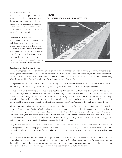#### *Axially Loaded Members*

For members stressed primarily in axial tension or axial compression, where the stresses are uniform over the crosssection of the member, single-grade lamination layups, such as those given in Table 2 are recommended since there is no benefit to using a graded layup.

#### *Combined Stress Members*

If the member is to be subjected to high bending stresses as well as axial stresses, such as occur in arches or beamcolumns, a bending member combination as tabulated in Table 1 is typically the most efficient. Tapered beams or pitched and tapered curved beams are special configurations that are also specified using Table 1 bending member combinations.

# FIGURE 2 TOP IDENTIFICATION FOR AN UNBALANCED LAYUP



# Development of Allowable Stresses

The laminating process used in the manufacture of glulam results in a random dispersal of naturally occurring lumber strengthreducing characteristics throughout the glulam member. This results in mechanical properties for glulam having higher values and lower variability as compared to sawn lumber products. For example, the coefficient of variation for the modulus of elasticity (E) of glulam is published as 10% which is equal to or lower than any other wood product.

Since glulam is manufactured with kiln-dried lumber having a maximum moisture content at the time of fabrication of 16%, this results in higher allowable design stresses as compared to dry (moisture content of 19% or less) or green lumber.

The use of kiln-dried laminating lumber also means that the moisture content of a glulam is relatively uniform throughout the member unlike green sawn timbers which may have widely varying moisture contents within a given member. This use of uniformly dry lumber gives glulam excellent dimensional stability. Thus, a glulam member will not undergo the dimensional changes normally associated with larger solid-sawn green timbers, and will remain straight and true in cross-section. A "dry" glulam is also less susceptible to the checking and splitting which is often associated with "green" timbers as they undergo in-service drying.

Allowable stresses for glulam are determined in accordance with the principles of ASTM D 3737, *Standard Practice for Establishing Stresses for Structural Glued Laminated Timber.* A key strength consideration accounted for in this standard is the random dispersal of strength reducing characteristics previously discussed. By randomly distributing the strength-reducing characteristics found in dimension lumber, the effect of any given defect is greatly minimized. Other strength considerations accounted for in this standard are those associated with using dry lumber and characteristics unique to the glued laminated timber manufacturing process such as being able to vary the grade of lumber throughout the depth of the member.

Many different species of lumber can be used to produce glued laminated timber. In addition, a wide range of grades of both visually graded and mechanically graded lumber can be used in the manufacture of glulam. This wide variety of available species and grades results in numerous options for the producers to combine species and grades to create a wide array of glulam layup combinations.

For some layup combinations, the use of different species within the same member is permitted. This is done when it is desirable to use a lower strength species in the core of a glued laminated timber and a higher strength species in the outer zones. However, the specifier is cautioned that when mixed species are used, they may result in an appearance that may not be suitable for an exposed application as the species will typically have different coloration and visual characteristics.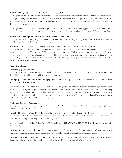# Published Design Stresses for *APA EWS* Trademarked Glulam

Table 1 provides the allowable design stresses for layup combinations primarily intended for use as bending members as commonly produced by APA members. Table 1 tabulates the layup combinations based on species, whether the combination is for a balanced or unbalanced layup and whether the lumber used is visually or mechanically graded as signified by a V (visual) or E (E-rated or mechanically graded).

Table 2 provides similar stresses for members primarily intended for use in axially loaded applications. Other combinations as tabulated in ICC Evaluation Service Report ESR-1940 may also be specified but availability should be verified with the supplier.

#### Published Grade Requirements for *APA EWS* Trademarked Glulams

Tables S-1 and S-2 of *Glulam Layup Combinations* (form Y117-SUP) provide the grade requirements for the laminations used in manufacturing the beams listed in Tables 1 and 2, respectively.

In addition to the layup combinations tabulated in Tables 1 and 2, APA periodically evaluates the use of new layup combinations and stresses based on the use of a computer simulation model identified as GAP. The GAP simulation model is based on the provisions of ASTM D 3737 and has been verified by extensive laboratory testing of full-size glulam beams at the APA Research Center in Tacoma, Wash. and at other laboratories throughout North America. As these new special layups are evaluated and approved by APA, they are added to ICC Evaluation Service Report ESR-1940 as part of the periodic reexamination process. ESR-1940 is subject to periodic re-examination and revisions.

# Specifying Glulam

#### *Common Layup Combinations*

While the use of a wide variety of species and grades results in optimizing the use of the lumber resource by the manufacturer, the multiplicity of possible layup combinations can be confusing.

# **To simplify the selection process, only the layup combinations typically available from APA members have been tabulated in the tables in this specification.**

By selecting one of these combinations the specifier will be identifying glulam products that have sufficiently high design properties to satisfy virtually any design situation and which are typically available in most major market areas in the U.S. Other layup combinations are available on a regional basis and the designer should verify availability of any combination for a given geographic area by contacting local suppliers or the APA glulam manufacturers (see APA Source List of Glulam Manufacturers), or go to the APA web site for a link to APA member web sites.

#### *Specific End-Use Layup Combinations*

It is important to note that certain layup combinations in Tables 1 and 2 have been developed for specific end-use applications. Several examples of these are as follows:

The **20F-V12** (unbalanced) and **20F-V13** (balanced) combinations use Alaska Yellow Cedar (AYC). These are intended for applications exposed to the elements or high humidity conditions where the use of the heartwood of a naturally durable species is preferred instead of using a pressure-preservative-treated glulam.

Another option is to specify Port Orford Cedar (POC) combinations **22F-V/POC 1** or **22F-V/POC 2** which exhibit characteristics similar to AYC.

The **24F-1.8E** layup is a general-purpose layup combination intended primarily for stock beams used in residential construction. This layup permits the use of a variety of species and is suitable for virtually any simple span beam application.

The **26F-E/DF1, 26F-E/DF1M1, 30F-E2, 30F-E2M2,** and **30F-E2M3** combinations were developed primarily for use in combination with prefabricated wood I-joists and are often referred to as "I-joist depth-compatible" (IJC) layups.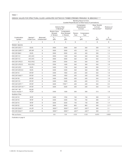# DESIGN VALUES FOR STRUCTURAL GLUED-LAMINATED SOFTWOOD TIMBER STRESSED PRIMARILY IN BENDING(1,2,3)

|                                               |                                      |                                                                                                                              | Bending About X-X Axis<br>(Loaded Perpendicular to Wide Faces of Laminations) |                                                   |         |                                          |                                                                  |                                         |  |  |  |  |  |
|-----------------------------------------------|--------------------------------------|------------------------------------------------------------------------------------------------------------------------------|-------------------------------------------------------------------------------|---------------------------------------------------|---------|------------------------------------------|------------------------------------------------------------------|-----------------------------------------|--|--|--|--|--|
|                                               |                                      |                                                                                                                              |                                                                               | <b>Extreme Fiber</b><br>in Bending <sup>(6)</sup> |         | Compression<br>Perpendicular<br>to Grain | <b>Shear Parallel</b><br>to Grain<br>(Horizontal) <sup>(7)</sup> | Modulus of<br>Elasticity <sup>(8)</sup> |  |  |  |  |  |
|                                               |                                      | <b>Tension Zone</b><br>Compression<br><b>Stressed</b><br><b>Zone Stressed</b><br>Tension<br>in Tension<br>in Tension<br>Face |                                                                               | Compression<br>Face                               |         |                                          |                                                                  |                                         |  |  |  |  |  |
| Combination<br>Symbol                         | Species <sup>(4)</sup><br>Outer/Core | Balanced/<br>Unbalanced <sup>(5)</sup>                                                                                       | $F_{bx}$ <sup>+</sup><br>(psi)                                                | $F_{bx}$<br>(psi)                                 |         | $F_{\text{clx}}$<br>(psi)                | $F_{vx}$<br>(psi)                                                | $E_{x}$<br>$(106$ psi)                  |  |  |  |  |  |
| 1                                             | $\overline{2}$                       | 3                                                                                                                            | $\overline{4}$                                                                | 5                                                 | 6       | $\overline{7}$                           | 8                                                                | 9                                       |  |  |  |  |  |
| <b>Western Species</b>                        |                                      |                                                                                                                              |                                                                               |                                                   |         |                                          |                                                                  |                                         |  |  |  |  |  |
| EWS 20F-E/ES1(11)                             | ES/ES                                | B                                                                                                                            | 2000                                                                          | 2000                                              | 560     | 560                                      | 200                                                              | 1.8                                     |  |  |  |  |  |
| EWS 20F-E/SPF1(12)                            | SPF/SPF                              | B                                                                                                                            | 2000                                                                          | 2000                                              | 425     | 425                                      | 215                                                              | 1.5                                     |  |  |  |  |  |
| <b>EWS 20F-E8M1</b>                           | ES/ES                                | B                                                                                                                            | 2000                                                                          | 2000                                              | 450     | 450                                      | 200                                                              | 1.5                                     |  |  |  |  |  |
| EWS 20F-V12                                   | AYC/AYC                              | U                                                                                                                            | 2000                                                                          | 1400                                              | 560     | 560                                      | 265                                                              | 1.5                                     |  |  |  |  |  |
| EWS 20F-V13                                   | AYC/AYC                              | B                                                                                                                            | 2000                                                                          | 2000                                              | 560     | 560                                      | 265                                                              | 1.5                                     |  |  |  |  |  |
| EWS 22F-V/POC1                                | POC/POC                              | B                                                                                                                            | 2200                                                                          | 2200                                              | 560     | 560                                      | 265                                                              | 1.8                                     |  |  |  |  |  |
| EWS 22F-V/POC2                                | POC/POC                              | U                                                                                                                            | 2200                                                                          | 1600                                              | 560     | 560                                      | 265                                                              | 1.8                                     |  |  |  |  |  |
| EWS 24F-E/ES1                                 | ES/ES                                | U                                                                                                                            | 2400                                                                          | 1700                                              | 560     | 560                                      | 200                                                              | 1.7                                     |  |  |  |  |  |
| EWS 24F-E/ES1M1                               | ES/ES                                | B                                                                                                                            | 2400                                                                          | 2400                                              | 560     | 560                                      | 200                                                              | 1.8                                     |  |  |  |  |  |
| <b>EWS 24F-V4</b>                             | DF/DF                                | U                                                                                                                            | 2400                                                                          | 1850                                              | 650     | 650                                      | 265                                                              | 1.8                                     |  |  |  |  |  |
| EWS 24F-V4M2(13)                              | DF/DF                                | U                                                                                                                            | 2400                                                                          | 1850                                              | 650     | 650                                      | 220                                                              | 1.8                                     |  |  |  |  |  |
| <b>EWS 24F-V8</b>                             | DF/DF                                | B                                                                                                                            | 2400                                                                          | 2400                                              | 650     | 650                                      | 265                                                              | 1.8                                     |  |  |  |  |  |
| EWS 24F-V10                                   | DF/HF                                | B                                                                                                                            | 2400                                                                          | 2400                                              | 650     | 650                                      | 215                                                              | 1.8                                     |  |  |  |  |  |
| EWS 26F-E/DF1(11)                             | DF/DF                                | U                                                                                                                            | 2600                                                                          | 1950(14)                                          | 650     | 650                                      | 265                                                              | 2.0                                     |  |  |  |  |  |
| EWS 26F-E/DF1M1(11)                           | DF/DF                                | B                                                                                                                            | 2600                                                                          | 2600                                              | 650     | 650                                      | 265                                                              | 2.0                                     |  |  |  |  |  |
| EWS 24F-1.8E<br>Glulam Header <sup>(15)</sup> | WS,SP/<br>WS, SP                     | U                                                                                                                            | 2400                                                                          | 1600                                              | 500     | 500                                      | 215                                                              | 1.8                                     |  |  |  |  |  |
| Southern Pine                                 |                                      |                                                                                                                              |                                                                               |                                                   |         |                                          |                                                                  |                                         |  |  |  |  |  |
| <b>EWS 24F-V3</b>                             | SP/SP                                | U                                                                                                                            | 2400                                                                          | 1950                                              | 740     | 740                                      | 300                                                              | 1.8                                     |  |  |  |  |  |
| <b>EWS 24F-V5</b>                             | SP/SP                                | B                                                                                                                            | 2400                                                                          | 2400                                              | 740     | 740                                      | 300                                                              | 1.7                                     |  |  |  |  |  |
| <b>EWS 26F-V4</b>                             | SP/SP                                | B                                                                                                                            | 2600                                                                          | 2600                                              | 740     | 740                                      | 300                                                              | 1.9                                     |  |  |  |  |  |
| <b>EWS 30F-E2</b>                             | SP/SP                                | B                                                                                                                            | 3000                                                                          | 3000                                              | 805     | 805                                      | 300                                                              | 2.1(19)                                 |  |  |  |  |  |
| EWS 30F-E2M2(16)                              | LVL/SP                               | B                                                                                                                            | 3000(17)                                                                      | 3000(17)                                          | 650(18) | 650(18)                                  | 300                                                              | 2.1                                     |  |  |  |  |  |
| EWS 30F-E2M3(16)                              | LVL/SP                               | B                                                                                                                            | 3000(17)                                                                      | 3000(17)                                          | 650(18) | 650(18)                                  | 300                                                              | 2.1                                     |  |  |  |  |  |
| Wet-use factors                               |                                      |                                                                                                                              | 0.8                                                                           | 0.8                                               | 0.53    | 0.53                                     | 0.875                                                            | 0.833                                   |  |  |  |  |  |

Footnotes on page 8.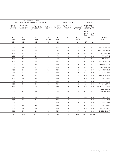|                                                      |                                          | Bending About Y-Y Axis<br>(Loaded Parallel to Wide Faces of Laminations) |                                          |                                  | <b>Axially Loaded</b>               |                                                        | <b>Fasteners</b>                                                    |                 |                                               |
|------------------------------------------------------|------------------------------------------|--------------------------------------------------------------------------|------------------------------------------|----------------------------------|-------------------------------------|--------------------------------------------------------|---------------------------------------------------------------------|-----------------|-----------------------------------------------|
| <b>Extreme</b><br>Fiber in<br>Bending <sup>(9)</sup> | Compression<br>Perpendicular<br>to Grain | Shear<br>Parallel to Grain<br>(Horizontal) <sup>(7,10)</sup>             | Modulus of<br>Elasticity <sup>(8)</sup>  | Tension<br>Parallel to<br>Grain  | Compression<br>Parallel to<br>Grain | Modulus of<br>Elasticity <sup>(8)</sup>                | <b>Specific Gravity</b><br>for Dowel-Type<br><b>Fastener Design</b> |                 |                                               |
|                                                      |                                          |                                                                          |                                          |                                  |                                     |                                                        | Top or<br><b>Bottom</b><br>Face                                     | Side<br>Face    |                                               |
| $\mathsf{F}_{\mathsf{by}}$<br>(psi)                  | $F_{c \perp y}$<br>(psi)                 | $\mathsf{F}_{\mathsf{vy}}$<br>(psi)                                      | $\mathsf{E}_{\mathsf{y}}$<br>$(106$ psi) | $\mathsf{F}_\mathsf{t}$<br>(psi) | $\mathsf{F}_{\rm c}$<br>(psi)       | $\mathsf{E}_{\mathsf{axial}}$<br>(10 <sup>6</sup> psi) | SG                                                                  |                 | Combination<br>Symbol                         |
| 10                                                   | 11                                       | 12                                                                       | 13                                       | 14                               | 15                                  | 16                                                     | 17                                                                  | 18              |                                               |
|                                                      |                                          |                                                                          |                                          |                                  |                                     |                                                        |                                                                     |                 |                                               |
| 1100                                                 | 300                                      | 175                                                                      | 1.5                                      | 1050                             | 1150                                | 1.6                                                    | 0.41                                                                | 0.41            | EWS 20F-E/ES1(11)                             |
| 875                                                  | 425                                      | 190                                                                      | 1.4                                      | 425                              | 1100                                | 1.4                                                    | 0.42                                                                | 0.42            | EWS 20F-E/SPF1(12)                            |
| 1400                                                 | 315                                      | 175                                                                      | 1.4                                      | 800                              | 1000                                | 1.4                                                    | 0.41                                                                | 0.41            | <b>EWS 20F-E8M1</b>                           |
| 1250                                                 | 470                                      | 230                                                                      | 1.4                                      | 900                              | 1500                                | 1.4                                                    | 0.46                                                                | 0.46            | EWS 20F-V12                                   |
| 1250                                                 | 470                                      | 230                                                                      | 1.4                                      | 925                              | 1550                                | 1.5                                                    | 0.46                                                                | 0.46            | EWS 20F-V13                                   |
| 1500                                                 | 375                                      | 230                                                                      | 1.6                                      | 1150                             | 1950                                | 1.6                                                    | 0.45                                                                | 0.45            | EWS 22F-V/POC1                                |
| 1500                                                 | 375                                      | 230                                                                      | 1.6                                      | 1150                             | 1900                                | 1.6                                                    | 0.45                                                                | 0.45            | EWS 22F-V/POC2                                |
| 1100                                                 | 300                                      | 175                                                                      | 1.5                                      | 1050                             | 1150                                | 1.6                                                    | 0.41                                                                | 0.41            | EWS 24F-E/ES1                                 |
| 1100                                                 | 300                                      | 175                                                                      | 1.5                                      | 1050                             | 1150                                | 1.6                                                    | 0.41                                                                | 0.41            | EWS 24F-E/ES1M1                               |
| 1450                                                 | 560                                      | 230                                                                      | 1.6                                      | 1100                             | 1650                                | 1.7                                                    | 0.50                                                                | 0.50            | <b>EWS 24F-V4</b>                             |
| 1450                                                 | 560                                      | 230                                                                      | 1.6                                      | 1100                             | 1650                                | 1.7                                                    | 0.50                                                                | 0.50            | EWS 24F-V4M2(13)                              |
| 1450                                                 | 560                                      | 230                                                                      | 1.6                                      | 1100                             | 1650                                | 1.7                                                    | 0.50                                                                | 0.50            | <b>EWS 24F-V8</b>                             |
| 1450                                                 | 375                                      | 200                                                                      | 1.5                                      | 1100                             | 1550                                | 1.6                                                    | 0.50                                                                | 0.43            | EWS 24F-V10                                   |
| 1850                                                 | 560                                      | 230                                                                      | 1.8                                      | 1400                             | 1800                                | 1.8                                                    | 0.50                                                                | 0.50            | EWS 26F-E/DF1(11)                             |
| 1850                                                 | 560                                      | 230                                                                      | 1.8                                      | 1400                             | 1800                                | 1.8                                                    | 0.50                                                                | 0.50            | EWS 26F-E/DF1M1(11)                           |
| 1300                                                 | 375                                      | 200                                                                      | 1.5                                      | 950                              | 1200                                | 1.6                                                    | 0.42                                                                | 0.42            | EWS 24F-1.8E<br>Glulam Header <sup>(15)</sup> |
|                                                      |                                          |                                                                          |                                          |                                  |                                     |                                                        |                                                                     |                 |                                               |
| 1750                                                 | 650                                      | 265                                                                      | 1.6                                      | 1150                             | 1650                                | 1.7                                                    | 0.55                                                                | 0.55            | <b>EWS 24F-V3</b>                             |
| 1750                                                 | 650                                      | 265                                                                      | 1.5                                      | 1150                             | 1650                                | 1.6                                                    | 0.55                                                                | 0.55            | <b>EWS 24F-V5</b>                             |
| 2100                                                 | 650                                      | 265                                                                      | 1.8                                      | 1200                             | 1600                                | 1.9                                                    | 0.55                                                                | 0.55            | <b>EWS 26F-V4</b>                             |
| 1750                                                 | 650                                      | 265                                                                      | 1.7                                      | 1350                             | 1750                                | 1.7                                                    | 0.55                                                                | 0.55            | <b>EWS 30F-E2</b>                             |
| 1750                                                 | 650                                      | 265                                                                      | 1.7                                      | 1350                             | 1750                                | 1.7                                                    | 0.50                                                                | 0.50            | EWS 30F-E2M2(16)                              |
| 1750                                                 | 650                                      | 265                                                                      | 1.7                                      | 1350                             | 1750                                | 1.7                                                    | 0.50                                                                | 0.50            | EWS 30F-E2M3(16)                              |
| 0.8                                                  | 0.53                                     | 0.875                                                                    | 0.833                                    | 0.8                              | 0.73                                | 0.833                                                  |                                                                     | See NDS See NDS |                                               |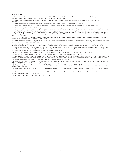#### Footnotes to Table 1:

(1) The combinations in this table are applicable to members consisting of 4 or more laminations, unless otherwise noted, and are intended primarily for members stressed in bending due to loads applied perpendicular to the wide faces of the laminations.

(2) The tabulated design values are for dry conditions of use. For wet conditions of use, multiply the tabulated values by the factors shown at the bottom of the table.

(3) The tabulated design values are for normal duration of loading. For other durations of loading, see applicable building code.

(4) The symbols used for species are AYC = Alaska yellow cedar, DF = Douglas fir-larch, ES = Eastern spruce, HF = Hem-fir, POC = Port Orford cedar,<br>SP = Southern pine, and SPF = Spruce-pine-fir.

(5) The unbalanced layups are intended primarily for simple-span applications and the balanced layups are intended primarily for continuous or cantilevered applications. (6) The tabulated design values in bending, F<sub>by</sub> are based on members 5-1/8 inches in width by 12 inches in depth by 21 feet in length. For members with larger volumes,<br>F<sub>bx</sub> shall be multiplied by a volume factor, C<sub>y</sub>, than 15 inches in depth.

(7) For non-prismatic members, notched members, members subject to impact or cyclic loading, or shear design of bending members at connections (NDS 3.4.3.3), the<br>design value for shear (Fvx) shall be multiplied by a factor

(8) The tabulated E values already include a 5% shear deflection (also known as "apparent E"). For beam and column stability calculations, E<sub>min</sub> shall be determined by multi-<br>plying the tabulated modulus of elasticity by

(9) The values of F<sub>by</sub> were calculated based on members 12 inches in depth (bending about Y-Y axis). For depths other than 12 inches, the F<sub>by</sub> values shall be permitted to be increased by multiplying by the size factor, (12/d)1/9, where d is the beam depth in inches. When d is less than 3 inches, use the size adjustment factor for 3 inches.

(10) Design values are for timbers with laminations made from a single piece of lumber across the width or multiple pieces that have been edge bonded. For timber manufactured from multiple-piece laminations (across width) that are not edge bonded, value shall be multiplied by 0.4 for members with 5, 7, or 9 laminations or by 0.5 for all other members. This reduction shall be cumulative with the adjustment in Footnote No. 7.

(11) The beam depth limitation is as follows – 20F-E/ES1: 15 inches or less; 26F-E/DF1 and 26F-E/DF1M1: 9-1/2, 11-7/8, 14, and 16 inches.

(12) This layup combination is limited to  $1-1/2$  to  $3-1/2$  inches in width, and  $7-1/2$ ,  $9$ ,  $9-1/2$ ,  $11-7/8$ , and 14 inches in depth.

(13) When containing wane, this combination shall be used in dry conditions only. In this case, wet-use factors shall not be applied. Because of the wane, this combination is<br>available only for an industrial appearance cha (14) This tabulated value is permitted to be increased to 2,200 psi for beam depths less than 16 inches.

(15) This combination shall be manufactured from either EWS 24F-V4/WS, EWS 24F-V5M1/WS, EWS 24F-V5M2/WS, EWS 24F-V5M3/WS, EWS 24F-E15M1/WS, EWS 24F-E/SPF4, or EWS 24F-V3/SP, and is intended primarily for use in header applications.

(16) The beam depth is limited to 16 inches or less for 30F-E2M2/SP, and between 7-1/4 and 30 inches for 30F-E2M3/SP. The tension lamination requirements for these layups shall not be omitted.

(17) The tabulated design values in bending,  $F_{\rm{bx'}}$  shall be multiplied by a volume factor,  $C_{\rm{v}}$  determined in accordance with the applicable building code using 1/10 as the exponent.

(18) The allowable compressive stress perpendicular to grain of the beam shall be permitted to be increased to the published allowable compressive stress perpendicular to grain of the outermost laminated veneer lumber.

(19) For members with more than 15 laminations,  $E_x = 2.0 \times 10^6$  psi.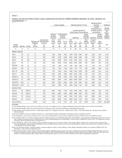#### DESIGN VALUES FOR STRUCTURAL GLUED-LAMINATED SOFTWOOD TIMBER STRESSED PRIMARILY IN AXIAL TENSION OR COMPRESSION(1,2,3)

|                        |                |                  |                                             |                                                                            |                                      | <b>Axially Loaded</b>                |                                |                                                |                               | <b>Bending About Y-Y Axis</b>             |                                                   | X-X Axis                                                      | <b>Bending About</b>                 | <b>Fasteners</b> |
|------------------------|----------------|------------------|---------------------------------------------|----------------------------------------------------------------------------|--------------------------------------|--------------------------------------|--------------------------------|------------------------------------------------|-------------------------------|-------------------------------------------|---------------------------------------------------|---------------------------------------------------------------|--------------------------------------|------------------|
|                        |                |                  |                                             |                                                                            |                                      |                                      |                                |                                                |                               | <b>Loaded Parallel to</b>                 | <b>Wide Faces of Laminations</b>                  | Loaded<br>Perpdendicular<br>to Wide Faces of<br>Laminations   | Specific<br>Gravity<br>for<br>Dowel- |                  |
|                        |                |                  |                                             | Tension<br>Compression<br>Parallel<br>Parallel<br>to Grain<br>to Grain     |                                      | Bending                              |                                |                                                | Shear<br>Parallel<br>to Grain | Bending                                   | Shear<br>Parallel<br>to Grain                     | Type<br>Fastener<br>Design                                    |                                      |                  |
| Comb.<br>Symbol        | <b>Species</b> | Grade            | Elasticity<br>E <sup>(4)</sup><br>$106$ psi | Compression<br>Modulus of Perpendicular<br>to Grain<br>$F_{c\perp}$<br>psi | 2 or<br>More<br>Lams<br>$F_t$<br>psi | 4 or<br>More<br>Lams<br>$F_c$<br>psi | 2 or 3<br>Lams<br>$F_c$<br>psi | 4 or<br>More<br>Lams<br>$F_{\text{by}}$<br>psi | 3<br>Lams<br>$F_{by}$<br>psi  | $\overline{2}$<br>Lams<br>$F_{by}$<br>psi | See<br><b>Notes</b><br>5 and 6<br>$F_{vy}$<br>psi | 2 Lams<br>to 15 in.<br>Deep <sup>(7)</sup><br>$F_{bx}$<br>psi | See<br>Note 8<br>$F_{vx}$<br>psi     | SG               |
| 1                      | $\overline{2}$ | 3                | $\overline{4}$                              | 5                                                                          | 6                                    | $\overline{7}$                       | 8                              | 9                                              | 10                            | 11                                        | 12                                                | 13                                                            | 14                                   | 15               |
| <b>Western Species</b> |                |                  |                                             |                                                                            |                                      |                                      |                                |                                                |                               |                                           |                                                   |                                                               |                                      |                  |
| EWS 1                  | DF             | L <sub>3</sub>   | 1.5                                         | 560                                                                        | 900                                  | 1550                                 | 1200                           | 1450                                           | 1250                          | 1000                                      | 230                                               | 1250                                                          | 265                                  | 0.50             |
| EWS <sub>2</sub>       | DF             | L2               | 1.6                                         | 560                                                                        | 1250                                 | 1950                                 | 1600                           | 1800                                           | 1600                          | 1300                                      | 230                                               | 1700                                                          | 265                                  | 0.50             |
| EWS <sub>3</sub>       | DF             | L <sub>2</sub> D | 1.9                                         | 650                                                                        | 1450                                 | 2300                                 | 1850                           | 2100                                           | 1850                          | 1550                                      | 230                                               | 2000                                                          | 265                                  | 0.50             |
| EWS <sub>5</sub>       | DF             | L1               | 2.0                                         | 650                                                                        | 1600                                 | 2400                                 | 2100                           | 2400                                           | 2100                          | 1800                                      | 230                                               | 2200                                                          | 265                                  | 0.50             |
| EWS 22(9)              | SW             | L3               | 1.0                                         | 315                                                                        | 525                                  | 850                                  | 675                            | 800                                            | 700                           | 550                                       | 170                                               | 725                                                           | 195                                  | 0.35             |
| <b>EWS 69</b>          | <b>AYC</b>     | L3               | 1.2                                         | 470                                                                        | 725                                  | 1150                                 | 1100                           | 1100                                           | 975                           | 775                                       | 230                                               | 1000                                                          | 265                                  | 0.46             |
| <b>EWS 70</b>          | <b>AYC</b>     | L2               | 1.3                                         | 470                                                                        | 975                                  | 1450                                 | 1450                           | 1400                                           | 1250                          | 1000                                      | 230                                               | 1350                                                          | 265                                  | 0.46             |
| <b>EWS 71</b>          | <b>AYC</b>     | L <sub>1</sub> D | 1.6                                         | 560                                                                        | 1250                                 | 1900                                 | 1900                           | 1850                                           | 1650                          | 1400                                      | 230                                               | 1700                                                          | 265                                  | 0.46             |
| EWS ES 11              | ES             | C4               | 1.5                                         | 450                                                                        | 975                                  | 1550                                 | 1350                           | 1750                                           | 1600                          | 1400                                      | 175                                               | 1350                                                          | 200                                  | 0.41             |
| EWS ES 12              | ES             | 1.9E6            | 1.8                                         | 560                                                                        | 1600                                 | 2300                                 | 1700                           | 2400                                           | 2400                          | 2300                                      | 175                                               | 1950                                                          | 200                                  | 0.41             |
| EWS POC 1              | <b>POC</b>     | L1               | 1.8                                         | 560                                                                        | 1350                                 | 2300                                 | 2000                           | 1950                                           | 1750                          | 1500                                      | 230                                               | 1850                                                          | 265                                  | 0.45             |
| EWS POC 2              | POC            | L2               | 1.5                                         | 375                                                                        | 1050                                 | 1900                                 | 1550                           | 1500                                           | 1300                          | 1100                                      | 230                                               | 1400                                                          | 265                                  | 0.45             |
| Southern Pine          |                |                  |                                             |                                                                            |                                      |                                      |                                |                                                |                               |                                           |                                                   |                                                               |                                      |                  |
| <b>EWS 47</b>          | <b>SP</b>      | N2M14            | 1.4                                         | 650                                                                        | 1200                                 | 1900                                 | 1150                           | 1750                                           | 1550                          | 1300                                      | 260                                               | 1400                                                          | 300                                  | 0.55             |
| <b>EWS 48</b>          | <b>SP</b>      | <b>N2D14</b>     | 1.7                                         | 740                                                                        | 1400                                 | 2200                                 | 1350                           | 2000                                           | 1800                          | 1500                                      | 260                                               | 1600                                                          | 300                                  | 0.55             |
| <b>EWS 49</b>          | SP             | <b>N1M16</b>     | 1.7                                         | 650                                                                        | 1350                                 | 2100                                 | 1450                           | 1950                                           | 1750                          | 1500                                      | 260                                               | 1800                                                          | 300                                  | 0.55             |
| <b>EWS 50</b>          | SP             | <b>N1D14</b>     | 1.9                                         | 740                                                                        | 1550                                 | 2300                                 | 1700                           | 2300                                           | 2100                          | 1750                                      | 260                                               | 2100                                                          | 300                                  | 0.55             |
| Wet-use factors        |                |                  | 0.833                                       | 0.53                                                                       | 0.8                                  | 0.73                                 | 0.73                           | 0.8                                            | 0.8                           | 0.8                                       | 0.875                                             | 0.8                                                           | 0.875                                | See NDS          |

Footnotes:

(1) The tabulated design values are for dry conditions of use. For wet conditions of use, multiply the tabulated values by the factors shown at the end of the table.

(2) The tabulated design values are for normal duration of loading. For other durations of loading, see applicable building code.

(3) The symbols used for species are AYC = Alaska yellow cedar, DF = Douglas fir-larch, ES = Eastern spruce, POC = Port Orford cedar, SP = Southern pine, and SW = Softwood species.

(4) For beam stability and column stability calculations,  $E_{min}$  shall be determined by multiplying the tabulated modulus of elasticity by 0.518.

(5) The tabulated F<sub>w</sub> values are for members of 4 or more lams. The tabulated F<sub>w</sub> values shall be multiplied by a factor of 0.95 for 3 lams and 0.84 for 2 lams.

(6) For members with 5, 7, or 9 lams manufactured from multiple-piece lams with unbonded edge joints, the tabulated F<sub>ay</sub> values shall be multiplied by a factor of 0.4. For all<br>other members manufiple-piece lams with unbo

(7) The tabulated F<sub>ix</sub> values are for members without special tension lams up to 15 inches in depth. If the member depth is greater than 15 inches without special tension<br>Interview of the bunded F<sub>ix</sub> values are permitted

(8) For non-prismatic members, notched members, members subject to impact or cyclic loading, or shear design of bending members at connections (NDS 3.4.3.3), the tabulated  $F_{\alpha}$  values shall be multiplied by 0.72.

(9) When Western Cedars, Western Cedars (North), Western Woods, and Redwood (open grain) are used in combinations for Softwood Species (SW), the design values for modulus of elasticity (E<sub>x</sub> and E<sub>y</sub>) shall be reduced by 100,000 psi. When Coast Sitka Spruce, Coast Species, Western White Pine, and Eastern White Pine are used in combinations for Softwood Species (SW), design values for shear parallel to grain ( $F_w$  and  $F_w$ ) shall be reduced by 10 psi before applying any adjustments.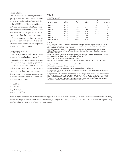#### Stress Classes

Another option for specifying glulam is to specify one of the stress classes in Table 3. These stress classes have been included in the 2005 National Design Specification for Wood Construction (NDS) and represent commonly available glulam. Note that these do not designate the species used or whether the layups use visually or E-rated laminations. Species may be specified in combination with these stress classes to obtain certain design properties as indicated in the footnotes.

#### *Specifying by Stresses*

When the specifier or end user is uncertain as to the availability or applicability of a specific layup combination or stress class, another way to specify glulam is to provide the manufacturer or supplier with the required stresses to satisfy a given design. For example, assume a simple-span beam design requires the following allowable stresses to carry the in-service design loads:

 $F_1 = 2250$  psi  $F_v = 150$  psi  $F_{\text{cperp}} = 500 \text{ psi}$  $MOE = 1.6 \times 10^6 \text{ psi}$  TABLE 3

#### STRESS CLASSES

| <b>Stress Class</b>         | $F_{bx}$ <sup>+</sup><br>(psi) | $F_{bx}^{-(1)}$<br>(psi) | $c\bot x$<br>(psi) | $F_{vx}^{(3)}$<br>(psi) | $(106 \text{psi})$ |
|-----------------------------|--------------------------------|--------------------------|--------------------|-------------------------|--------------------|
| 16F-1.3E                    | 1600                           | 925                      | 315                | 195                     | 1.3                |
| 20F-1.5E                    | 2000                           | 1100                     | 425                | 210                     | $1.5^{(5)}$        |
| 24F-1.7E                    | 2400                           | 1450                     | 500                | 210                     | 1.7                |
| 24F-1.8E                    | 2400                           | $1450^{(2)}$             | 650                | $265^{(4)}$             | 1.8                |
| 26F-1.8E                    | 2600                           | 1950                     | 650                | $265^{(4)}$             | 1.9                |
| 28F-1.8E                    | 2800                           | 2300                     | 740                | 300                     | 2.1(6)             |
| 30F-2.1E SP(7)              | 3000                           | 2400                     | 740                | 300                     | 2.1(6)             |
| 30F-2.1E LVL <sup>(8)</sup> | 3000                           | 3000                     | 650(9)             | 300                     | 2.1                |

Footnotes:

(1) For balanced layups,  $F_{\text{br}}^{-}$  (bending stress when compression zone is stressed in tension) shall be equal to  $F_{\text{br}}^{+}$  (bending stress when tension zone is stressed in tension) for the stress class. Designer sh

(2) Negative bending stress,  $F_{\text{box}}$ , is permitted to be increased to 1850 psi for Douglas-fir and to 1950 psi for southern pine for specific combinations. Designer shall specify when these increased stresses are required.

(3) For non-prismatic members, notched members, and members subject to impact or cyclic loading, the design value for shear shall be multiplied by a factor of 0.72.

(4)  $F_{vx}$  = 300 psi for glulam made of southern pine.

(5)  $\mathsf{E}_\mathsf{x}$  may be increased to 1.8 x 10<sup>6</sup> psi for glulam made of Canadian spruce-pine-fir or Eastern spruce.

(6)  $E_x = 2.0 \times 10^6$  psi for members with more than 15 laminations.

(7) Limited to a maximum width of 6 inches.

(8) Requires the use of an outermost LVL lamination on the top and bottom.

(9) Compressive perpendicular to grain stress can be increased to the published value for the outermost LVL lamination.

Design values in this table represent design values for groups of similar glued laminated timber combinations. Higher design values for some properties may be obtained by specifying a particular combination listed in Table 1 or in ICC Evaluation Service Report ESR-1940. Design values are for members with 4 or more laminations. Some stress classes are not available in all species. Contact glulam manufacturer for availability.

If the designer provides the manufacturer or supplier with these required stresses, a number of layup combinations satisfying these stress requirements could then be supplied depending on availability. This will often result in the lowest cost option being supplied while still satisfying all design requirements.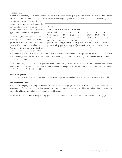#### Member Sizes

In addition to specifying the allowable design stresses, it is also necessary to specify the size of member required. While glulam can be manufactured in virtually any cross-sectional size and length required, it is important to understand that since glulam is

manufactured using dimension lumber, certain widths and depths become de facto standards which should be specified whenever possible. Table 4 provides typical net finished widths for glulam.

The depths of glulam are typically specified in multiples of 1-1/2 inches for Western species and 1-3/8 inches for southern pine. Thus, a 10-lamination member using Western species will have a net depth of 15 inches while a 10-lamination southern

| TABLE 4                                   |           |           |                |           |           |          |  |  |  |  |  |
|-------------------------------------------|-----------|-----------|----------------|-----------|-----------|----------|--|--|--|--|--|
| <b>TYPICAL NET FINISHED GLULAM WIDTHS</b> |           |           |                |           |           |          |  |  |  |  |  |
| Nominal Width                             | 3         | $4*$      | $\mathsf{A}^*$ | 8         | 10        | 12       |  |  |  |  |  |
| Western species                           | $2 - 1/2$ | $3 - 1/8$ | $5 - 1/8$      | $6 - 3/4$ | $8 - 3/4$ | $10-3/4$ |  |  |  |  |  |
| Southern pine                             | $2 - 1/2$ | 3         | 5              | $6 - 3/4$ | $8 - 1/2$ | $10-1/2$ |  |  |  |  |  |

\* For the 4-inch and 6-inch nominal widths, glulam may also be available in 3-1/2" and 5-1/2" widths respectively. These "full-width" members correspond to the dimensions of 2x4 and 2x6 framing lum-<br>ber and are supplied with "hit or miss" surfacing which is only acceptable for concealed applications.<br>For additional inform *Glued Laminated Timber Appearance Classifications for Construction Applications.*

pine member will have a net depth of 13-3/4 inches. Other thicknesses of laminations may be specified but these will require a custom order. An example would be the use of 3/4-inch-thick laminations to produce members with a tight radius-of-curvature such as occurs in most arch members.

When used in conjunction with I-joists, glulam may be supplied in I-joist-compatible (IJC) depths. For residential construction, these are 9-1/2 inches, 11-7/8 inches, 14 inches and 16 inches. Section properties for some of these depths are shown in Tables 5 and 6 for 3-1/2- and 5-1/2-inch net widths.

# Section Properties

Tables 5 and 6 provide net section properties for both Western species and southern pine glulam. Other sizes are also available.

#### Further Information

In addition to properly specifying the member size and allowable design properties, other considerations associated with the proper design of glulam include providing proper bearing support, assuring adequate lateral bracing and detailing connections to account for all in-service loads and environmental considerations.

For further information on specifying or using glued laminated timber, contact APA at the address listed on the back page.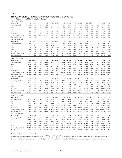#### *DOUGLAS-FIR* GLUED LAMINATED BEAM SECTION PROPERTIES AND CAPACITIES

 $F_b = 2,400 \text{ psi}, E = 1,800,000 \text{ psi}, F_v = 265 \text{ psi}$ 

| 3-1/8-INCH WIDTH                               |        |            |               |            |        |            |        |               |        |               |        |            |        |            |        |
|------------------------------------------------|--------|------------|---------------|------------|--------|------------|--------|---------------|--------|---------------|--------|------------|--------|------------|--------|
| Depth (in.)                                    | 6      | $7 - 1/2$  | 9             | $10 - 1/2$ | 12     | $13 - 1/2$ | 15     | $16 - 1/2$    | 18     | $19 - 1/2$    | 21     | $22 - 1/2$ | 24     | $25 - 1/2$ | 27     |
| Beam Weight (lb/ft)                            | 4.6    | 5.7        | 6.8           | 8.0        | 9.1    | 10.3       | 11.4   | 12.5          | 13.7   | 14.8          | 16.0   | 17.1       | 18.2   | 19.4       | 20.5   |
| A (in.2)                                       | 18.8   | 23.4       | 28.1          | 32.8       | 37.5   | 42.2       | 46.9   | 51.6          | 56.3   | 60.9          | 65.6   | 70.3       | 75.0   | 79.7       | 84.4   |
| $S$ (in. <sup>3</sup> )                        | 19     | 29         | 42            | 57         | 75     | 95         | 117    | 142           | 169    | 198           | 230    | 264        | 300    | 339        | 380    |
| $l$ (in. <sup>4</sup> )                        | 56     | 110        | 190           | 301        | 450    | 641        | 879    | 1170          | 1519   | 1931          | 2412   | 2966       | 3600   | 4318       | 5126   |
| El (10 <sup>6</sup> lb-in. <sup>2</sup> )      | 101    | 198        | 342           | 543        | 810    | 1153       | 1582   | 2106          | 2734   | 3476          | 4341   | 5339       | 6480   | 7773       | 9226   |
| Moment Capacity (lb-ft)                        | 3750   | 5859       | 8438          | 11484      | 15000  | 18984      | 23438  | 28359         | 33750  | 39609         | 45938  | 52734      | 60000  | 67734      | 75938  |
| Shear Capacity (lb)                            | 3313   | 4141       | 4969          | 5797       | 6625   | 7453       | 8281   | 9109          | 9938   | 10766         | 11594  | 12422      | 13250  | 14078      | 14906  |
| 3-1/2-INCH WIDTH                               |        |            |               |            |        |            |        |               |        |               |        |            |        |            |        |
| Depth (in.)                                    | 6      | $7 - 1/2$  | 9             | $10 - 1/2$ | 12     | $13 - 1/2$ | 14     | 15            | 16     | $16 - 1/2$    | 18     | $19 - 1/2$ | 21     | $22 - 1/2$ | 24     |
| Beam Weight (lb/ft)                            | 5.1    | 6.4        | 7.7           | 8.9        | 10.2   | 11.5       | 11.9   | 12.8          | 136    | 14.0          | 15.3   | 16.6       | 17.9   | 19.1       | 20.4   |
| $A$ (in. <sup>2</sup> )                        | 21.0   | 26.3       | 31.5          | 36.8       | 42.0   | 47.3       | 49.0   | 52.5          | 560    | 57.8          | 63.0   | 68.3       | 73.5   | 78.8       | 84.0   |
| $S$ (in. <sup>3</sup> )                        | 21     | 33         | 47            | 64         | 84     | 106        | 114    | 131           | 149    | 159           | 189    | 222        | 257    | 295        | 336    |
| $l$ (in. <sup>4</sup> )                        | 63     | 123        | 213           | 338        | 504    | 718        | 800    | 984           | 1195   | 1310          | 1701   | 2163       | 2701   | 3322       | 4032   |
| El (10 <sup>6</sup> lb-in. <sup>2</sup> )      | 113    | 221        | 383           | 608        | 907    | 1292       | 1441   | 1772          | 2150   | 2358          | 3062   | 3893       | 4862   | 5980       | 7258   |
| Moment Capacity (lb-ft)                        | 4200   | 6563       | 9450          | 12863      | 16800  | 21263      | 22867  | 26250         | 29867  | 31763         | 37800  | 44363      | 51450  | 59063      | 67200  |
| Shear Capacity (lb)                            | 3710   | 4638       | 5565          | 6493       | 7420   | 8348       | 8657   | 9275          | 9893   | 10203         | 11130  | 12058      | 12985  | 13913      | 14840  |
| 5-1/8-INCH WIDTH                               |        |            |               |            |        |            |        |               |        |               |        |            |        |            |        |
| Depth (in.)                                    | 12     | $13 - 1/2$ | 15            | $16 - 1/2$ | 18     | $19 - 1/2$ | 21     | $22 - 1/2$    | 24     | $25 - 1/2$    | 27     | $28 - 1/2$ | 30     | $31 - 1/2$ | 33     |
| Beam Weight (lb/ft)                            | 14.9   | 16.8       | 18.7          | 20.6       | 22.4   | 24.3       | 26.2   | 28.0          | 29.9   | 31.8          | 33.6   | 35.5       | 37.4   | 39.2       | 41.1   |
| A (in. <sup>2</sup> )                          | 61.5   | 69.2       | 76.9          | 84.6       | 92.3   | 99.9       | 107.6  | 115.3         | 123.0  | 130.7         | 138.4  | 146.1      | 153.8  | 161.4      | 169.1  |
| $S$ (in. <sup>3</sup> )                        | 123    | 156        | 192           | 233        | 277    | 325        | 377    | 432           | 492    | 555           | 623    | 694        | 769    | 848        | 930    |
| $l$ (in. <sup>4</sup> )                        | 738    | 1051       | 1441          | 1919       | 2491   | 3167       | 3955   | 4865          | 5904   | 7082          | 8406   | 9887       | 11531  | 13349      | 15348  |
| EI (10 $6$ lb-in. <sup>2</sup> )               | 1328   | 1891       | 2595          | 3453       | 4483   | 5700       | 7119   | 8757          | 10627  | 12747         | 15131  | 17796      | 20756  | 24028      | 27627  |
| Moment Capacity (lb-ft)                        | 24600  | 31134      | 38438         | 46509      | 55350  | 64959      | 75338  | 86484         | 98400  | 111084        | 124538 | 138759     | 153750 | 169509     | 186038 |
| Shear Capacity (lb)                            | 10865  | 12223      | 13581         | 14939      | 16298  | 17656      | 19014  | 20372         | 21730  | 23088         | 24446  | 25804      | 27163  | 28521      | 29879  |
| 5-1/2-INCH WIDTH                               |        |            |               |            |        |            |        |               |        |               |        |            |        |            |        |
| Depth (in.)                                    | 12     | $13 - 1/2$ | 14            | 15         | 16     | $16 - 1/2$ | 18     | $19 - 1/2$    | 21     | $22 - 1/2$    | 24     | $25 - 1/2$ | 27     | $28 - 1/2$ | 30     |
| Beam Weight (lb/ft)                            | 16.0   | 18.0       | 18.7          | 20.1       | 21.4   | 22.1       | 24.1   | 26.1          | 28.1   | 30.1          | 32.1   | 34.1       | 36.1   | 38.1       | 40.1   |
| $A$ (in. <sup>2</sup> )                        | 66.0   | 74.3       | 77.0          | 82.5       | 88.0   | 90.8       | 99.0   | 107.3         | 115.5  | 123.8         | 132.0  | 140.3      | 148.5  | 156.8      | 165.0  |
| $S$ (in. <sup>3</sup> )                        | 132    | 167        | 180           | 206        | 235    | 250        | 297    | 349           | 404    | 464           | 528    | 596        | 668    | 745        | 825    |
| $l$ (in. <sup>4</sup> )                        | 792    | 1128       | 1258          | 1547       | 1877   | 2059       | 2673   | 3398          | 4245   | 5221          | 6336   | 7600       | 9021   | 10610      | 12375  |
| El (10 <sup>6</sup> lb-in. <sup>2</sup> )      |        |            |               | 2784       | 3379   | 3706       | 4811   | 6117          | 7640   | 9397          | 11405  | 13680      | 16238  | 19098      | 22275  |
|                                                | 1426   | 2030       | 2264          |            |        |            |        |               |        | 92813         | 105600 |            |        |            |        |
|                                                | 26400  | 33413      | 35933         | 41250      | 46933  | 49913      | 59400  | 69713         | 80850  |               |        | 119213     | 133650 | 148913     | 165000 |
| Moment Capacity (lb-ft)<br>Shear Capacity (lb) | 11660  | 13118      | 13603         | 14575      | 15547  | 16033      | 17490  | 18948         | 20405  | 21863         | 23320  | 24778      | 26235  | 27693      | 29150  |
|                                                |        |            |               |            |        |            |        |               |        |               |        |            |        |            |        |
| 6-3/4-INCH WIDTH                               |        |            |               |            |        |            |        |               |        |               |        |            |        |            |        |
| Depth (in.)                                    | 18     | $19 - 1/2$ | 21            | $22 - 1/2$ | 24     | $25 - 1/2$ | 27     | $28 - 1/2$    | 30     | $31 - 1/2$    | 33     | $34 - 1/2$ | 36     | $37 - 1/2$ | 39     |
| Beam Weight (lb/ft)                            | 29.5   | 32.0       | 34.5          | 36.9       | 39.4   | 41.8       | 44.3   | 46.8          | 49.2   | 51.7          | 54.1   | 56.6       | 59.1   | 61.5       | 64.0   |
| $A$ (in. <sup>2</sup> )                        | 121.5  | 131.6      | 141.8         | 151.9      | 162.0  | 172.1      | 182.3  | 192.4         | 202.5  | 212.6         | 222.8  | 232.9      | 243.0  | 253.1      | 263.3  |
| $S$ (in. <sup>3</sup> )                        | 365    | 428        | 496           | 570        | 648    | 732        | 820    | 914           | 1013   | 1116          | 1225   | 1339       | 1458   | 1582       | 1711   |
| $l$ (in. <sup>4</sup> )                        | 3281   | 4171       | 5209          | 6407       | 7776   | 9327       | 11072  | 13021         | 15188  | 17581         | 20215  | 23098      | 26244  | 29663      | 33367  |
| El (10 <sup>6</sup> lb-in. <sup>2</sup> )      | 5905   | 7508       | 9377          | 11533      | 13997  | 16789      | 19929  | 23438         | 27338  | 31647         | 36386  | 41577      | 47239  | 53394      | 60060  |
| Moment Capacity (lb-ft)                        | 72900  | 85556      | 99225         | 113906     | 129600 | 146306     | 164025 | 182756        | 202500 | 223256 245025 |        | 267806     | 291600 | 316406     | 342225 |
| Shear Capacity (lb)                            | 21465  | 23254      | 25043         | 26831      | 28620  | 30409      | 32198  | 33986         | 35775  | 37564         | 39353  | 41141      | 42930  | 44719      | 46508  |
| 8-3/4-INCH WIDTH                               |        |            |               |            |        |            |        |               |        |               |        |            |        |            |        |
| Depth (in.)                                    | 24     | $25 - 1/2$ | 27            | $28 - 1/2$ | 30     | $31 - 1/2$ | 33     | $34 - 1/2$    | 36     | $37 - 1/2$    | 39     | $40 - 1/2$ | 42     | $43 - 1/2$ | 45     |
| Beam Weight (lb/ft)                            | 51.0   | 54.2       | 57.4          | 60.6       | 63.8   | 67.0       | 70.2   | 73.4          | 76.6   | 79.8          | 82.9   | 86.1       | 89.3   | 92.5       | 95.7   |
| A (in. <sup>2</sup> )                          | 210.0  | 223.1      | 236.3         | 249.4      | 262.5  | 275.6      | 288.8  | 301.9         | 315.0  | 328.1         | 341.3  | 354.4      | 367.5  | 380.6      | 393.8  |
| $S$ (in. <sup>3</sup> )                        | 840    | 948        | 1063          | 1185       | 1313   | 1447       | 1588   | 1736          | 1890   | 2051          | 2218   | 2392       | 2573   | 2760       | 2953   |
| $l$ (in. <sup>4</sup> )                        | 10080  | 12091      | 14352         | 16880      | 19688  | 22791      | 26204  | 29942         | 34020  | 38452         | 43253  | 48439      | 54023  | 60020      | 66445  |
| El (10 <sup>6</sup> lb-in. <sup>2</sup> )      | 18144  | 21763      | 25834         | 30383      | 35438  | 41023      | 47167  | 53896         | 61236  | 69214         | 77856  | 87190      | 97241  | 108036     | 119602 |
| Moment Capacity (lb-ft)                        | 168000 |            | 189656 212625 | 236906     | 262500 | 289406     |        | 317625 347156 | 378000 | 410156        | 443625 | 478406     | 514500 | 551906     | 590625 |
| Shear Capacity (lb)<br>Footnotes:              | 37100  | 39419      | 41738         | 44056      | 46375  | 48694      | 51013  | 53331         | 55650  | 57969         | 60288  | 62606      | 64925  | 67244      | 69563  |

 $(1)$  Beam weight is based on density of 35 pc

(2) Moment capacity must be adjusted for volume effect:  $C_v = \left(\frac{12}{d}\right)^{1/10} \times \left(\frac{5.125}{b}\right)^{1/10} \times \left(\frac{21}{L}\right)^{1/10} \le 1.0$ , where d = beam depth (in.), b = beam width (in.), and L = beam length (ft).

(3) Moment and shear capacities are based on a normal (10 years) duration of load and should be adjusted for the design duration of load per the applicable building code.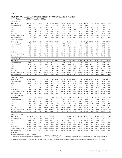#### *SOUTHERN PINE* GLUED LAMINATED BEAM SECTION PROPERTIES AND CAPACITIES

 $F_b = 2,400 \text{ psi}, E = 1,800,000 \text{ psi}, F_v = 300 \text{ psi}$ 

| <b>3-INCH WIDTH</b>                                   |             |             |             |             |            |             |              |               |              |            |              |              |              |            |            |
|-------------------------------------------------------|-------------|-------------|-------------|-------------|------------|-------------|--------------|---------------|--------------|------------|--------------|--------------|--------------|------------|------------|
| Depth (in.)                                           | $6 - 7/8$   | $8 - 1/4$   | $9 - 5/8$   | 11          | $12 - 3/8$ | $13 - 3/4$  | $15 - 1/8$   | $16 - 1/2$    | $17 - 7/8$   | $19 - 1/4$ | $20 - 5/8$   | 22           | $23 - 3/8$   | $24 - 3/4$ | $26 - 1/8$ |
| Beam Weight (lb/ft)                                   | 5.2         | 6.2         | 7.2         | 8.3         | 9.3        | 10.3        | 11.3         | 12.4          | 13.4         | 14.4       | 15.5         | 16.5         | 17.5         | 18.6       | 19.6       |
| A (in. $^2$ )                                         | 20.6        | 24.8        | 28.9        | 33.0        | 37.1       | 41.3        | 45.4         | 49.5          | 53.6         | 57.8       | 61.9         | 66.0         | 70.1         | 74.3       | 78.4       |
| $S$ (in. <sup>3</sup> )                               | 24          | 34          | 46          | 61          | 77         | 95          | 114          | 136           | 160          | 185        | 213          | 242          | 273          | 306        | 341        |
| $\int$ (in. <sup>4</sup> )                            | 81          | 140         | 223         | 333         | 474        | 650         | 865          | 1123          | 1428         | 1783       | 2193         | 2662         | 3193         | 3790       | 4458       |
| EI $(106$ lb-in. <sup>2</sup> )                       | 146         | 253         | 401         | 599         | 853        | 1170        | 1557         | 2021          | 2570         | 3210       | 3948         | 4792         | 5747         | 6822       | 8024       |
| Moment Capacity (lb-ft)                               | 4727        | 6806        | 9264        | 12100       | 15314      | 18906       | 22877        | 27225         | 31952        | 37056      | 42539        | 48400        | 54639        | 61256      | 68252      |
| Shear Capacity (lb)                                   | 4125        | 4950        | 5775        | 6600        | 7425       | 8250        | 9075         | 9900          | 10725        | 11550      | 12375        | 13200        | 14025        | 14850      | 15675      |
| 3-1/2-INCH WIDTH                                      |             |             |             |             |            |             |              |               |              |            |              |              |              |            |            |
| Depth (in.)                                           | $6 - 7/8$   | $8 - 1/4$   | $9 - 5/8$   | 11          | $12 - 3/8$ | $13 - 3/4$  | 14           | $15 - 1/8$    | 16           | $16 - 1/2$ | $17 - 7/8$   | $19 - 1/4$   | $20 - 5/8$   | 22         | $23 - 3/8$ |
| Beam Weight (lb/ft)                                   | 6.0         | 7.2         | 8.4         | 9.6         | 10.8       | 12.0        | 12.3         | 13.2          | 14.0         | 14.4       | 15.6         | 16.8         | 18.0         | 19.3       | 20.5       |
| A (in. $^2$ )                                         | 24.1        | 28.9        | 33.7        | 38.5        | 43.3       | 48.1        | 49.0         | 52.9          | 56.0         | 57.8       | 62.6         | 67.4         | 72.2         | 77.0       | 81.8       |
| $S$ (in. <sup>3</sup> )                               | 28          | 40          | 54          | 71          | 89         | 110         | 114          | 133           | 149          | 159        | 186          | 216          | 248          | 282        | 319        |
| $\int$ (in. <sup>4</sup> )                            | 95          | 164         | 260         | 388         | 553        | 758         | 800          | 1009          | 1195         | 1310       | 1666         | 2081         | 2559         | 3106       | 3725       |
| EI $(106$ lb-in. <sup>2</sup> )                       | 171         | 295         | 468         | 699         | 995        | 1365        | 1441         | 1817          | 2150         | 2358       | 2998         | 3745         | 4606         | 5590       | 6705       |
| Moment Capacity (lb-ft)                               | 5514        | 7941        | 10808       | 14117       | 17866      | 22057       | 22867        | 26689         | 29867        | 31763      | 37277        | 43232        | 49629        | 56467      | 63746      |
| Shear Capacity (lb)                                   | 4813        | 5775        | 6738        | 7700        | 8663       | 9625        | 9800         | 10588         | 11200        | 11550      | 12513        | 13475        | 14438        | 15400      | 16363      |
|                                                       |             |             |             |             |            |             |              |               |              |            |              |              |              |            |            |
| 5-INCH WIDTH<br>Depth (in.)                           | $12 - 3/8$  | $13 - 3/4$  | $15 - 1/8$  | $16 - 1/2$  | $17 - 7/8$ | $19 - 1/4$  | $20 - 5/8$   | 22            | $23 - 3/8$   | $24 - 3/4$ | $26 - 1/8$   | $27 - 1/2$   | $28 - 7/8$   | $30 - 1/4$ | $31 - 5/8$ |
|                                                       | 15.5        | 17.2        | 18.9        | 20.6        | 22.3       | 24.1        | 25.8         | 27.5          | 29.2         | 30.9       | 32.7         | 34.4         | 36.1         | 37.8       | 39.5       |
| Beam Weight (lb/ft)                                   |             |             |             |             | 89.4       |             |              |               |              | 123.8      |              |              |              | 151.3      | 158.1      |
| A (in. $^2$ )                                         | 61.9<br>128 | 68.8<br>158 | 75.6<br>191 | 82.5<br>227 | 266        | 96.3<br>309 | 103.1<br>354 | 110.0<br>403  | 116.9<br>455 | 510        | 130.6<br>569 | 137.5<br>630 | 144.4<br>695 | 763        | 833        |
| $S$ (in. <sup>3</sup> )<br>$\int$ (in. <sup>4</sup> ) | 790         | 1083        | 1442        | 1872        | 2380       | 2972        | 3656         | 4437          | 5322         | 6317       | 7429         | 8665         | 10031        | 11534      | 13179      |
| EI $(106$ lb-in. <sup>2</sup> )                       | 1421        | 1950        | 2595        | 3369        | 4284       | 5350        | 6580         | 7986          | 9579         | 11371      | 13373        | 15598        | 18056        | 20760      | 23722      |
| Moment Capacity (lb-ft)                               | 25523       | 31510       | 38128       | 45375       | 53253      | 61760       | 70898        | 80667         | 91065        | 102094     | 113753       | 126042       | 138961       | 152510     | 166690     |
| Shear Capacity (lb)                                   | 12375       | 13750       | 15125       | 16500       | 17875      | 19250       | 20625        | 22000         | 23375        | 24750      | 26125        | 27508        | 28875        | 30250      | 31625      |
|                                                       |             |             |             |             |            |             |              |               |              |            |              |              |              |            |            |
| 5-1/2-INCH WIDTH                                      |             |             |             |             |            |             |              |               |              |            |              |              |              |            |            |
| Depth (in.)                                           | $12 - 3/8$  | $13 - 3/4$  | 14          | $15 - 1/8$  | 16         | $16 - 1/2$  | $17 - 7/8$   | $19 - 1/4$    | $20 - 5/8$   | 22         | $23 - 3/8$   | $24 - 3/4$   | $26 - 1/8$   | $27 - 1/2$ | $28 - 7/8$ |
| Beam Weight (lb/ft)                                   | 17.0        | 18.9        | 19.3        | 20.8        | 22.0       | 22.7        | 24.6         | 26.5          | 28.4         | 30.3       | 32.1         | 34.0         | 35.9         | 37.8       | 39.7       |
| A (in. $^2$ )                                         | 68.1        | 75.6        | 77.0        | 83.2        | 88.0       | 90.8        | 98.3         | 105.9         | 113.4        | 121.0      | 128.6        | 136.1        | 143.7        | 151.3      | 158.8      |
| $S$ (in. <sup>3</sup> )                               | 140         | 173         | 180         | 210         | 235        | 250         | 293          | 340           | 390          | 444        | 501          | 562          | 626          | 693        | 764        |
| $\int$ (in. <sup>4</sup> )                            | 869         | 1191        | 1258        | 1586        | 1877       | 2059        | 2618         | 3269          | 4021         | 4880       | 5854         | 6949         | 8172         | 9532       | 11034      |
| EI $(106$ lb-in. <sup>2</sup> )                       | 1563        | 2145        | 2264        | 2855        | 3379       | 3706        | 4712         | 5885          | 7238         | 8785       | 10537        | 12508        | 14710        | 17157      | 19862      |
| Moment Capacity (lb-ft)                               | 28076       | 34661       | 35933       | 41940       | 46933      | 49913       | 58578        | 67936         | 77988        | 88733      | 100172       | 112303       | 125128       | 138646     | 152857     |
| Shear Capacity (lb)                                   | 13613       | 15125       | 15400       | 16638       | 17600      | 18150       | 19663        | 21175         | 22688        | 24200      | 25713        | 27225        | 28738        | 30250      | 31763      |
| 6-3/4-INCH WIDTH                                      |             |             |             |             |            |             |              |               |              |            |              |              |              |            |            |
| Depth (in.)                                           | $17 - 7/8$  | $19 - 1/4$  | $20 - 5/8$  | 22          | $23 - 3/8$ | $24 - 3/4$  | $26 - 1/8$   | $27 - 1/2$    | $28 - 7/8$   | $30 - 1/4$ | $31 - 5/8$   | 33           | $34 - 3/8$   | $35 - 3/4$ | $37 - 1/8$ |
| Beam Weight (lb/ft)                                   | 30.2        | 32.5        | 34.8        | 37.1        | 39.4       | 41.8        | 44.1         | 46.4          | 48.7         | 51.0       | 53.4         | 55.7         | 58.0         | 60.3       | 62.6       |
| A (in. $^2$ )                                         | 120.7       | 129.9       | 139.2       | 148.5       | 157.8      | 167.1       | 176.3        | 185.6         | 194.9        | 204.2      | 213.5        | 222.8        | 232.0        | 241.3      | 250.6      |
| $S$ (in. <sup>3</sup> )                               | 359         | 417         | 479         | 545         | 615        | 689         | 768          | 851           | 938          | 1029       | 1125         | 1225         | 1329         | 1438       | 1551       |
| $\int$ (in. <sup>4</sup> )                            | 3213        | 4012        | 4935        | 5990        | 7184       | 8528        | 10030        | 11698         | 13542        | 15570      | 17792        | 20215        | 22848        | 25701      | 28782      |
| EI (10 $^{6}$ lb-in. <sup>2</sup> )                   | 5783        | 7222        | 8883        | 10781       | 12932      | 15350       | 18054        | 21057         | 24376        | 28027      | 32025        | 36386        | 41127        | 46262      | 51808      |
| Moment Capacity (lb-ft)                               | 71891       | 83377       | 95713       | 108900      | 122938     | 137827      | 153566       | 170156 187597 |              | 205889     | 225032       | 245025       | 265869       | 287564     | 310110     |
| Shear Capacity (lb)                                   | 24131       | 25988       | 27844       | 29700       | 31556      | 33413       | 35269        | 37125         | 38981        | 40838      | 42694        | 44550        | 46406        | 48263      | 50119      |
| 8-1/2-INCH WIDTH                                      |             |             |             |             |            |             |              |               |              |            |              |              |              |            |            |
| Depth (in.)                                           | $24 - 3/4$  | $26 - 1/8$  | $27 - 1/2$  | $28 - 7/8$  | $30 - 1/4$ | $31 - 5/8$  | 33           | $34 - 3/8$    | $35 - 3/4$   | $37 - 1/8$ | $38 - 1/2$   | $39 - 7/8$   | $41 - 1/4$   | $42 - 5/8$ | 44         |
| Beam Weight (lb/ft)                                   | 52.6        | 55.5        | 58.4        | 61.4        | 64.3       | 67.2        | 70.1         | 73.0          | 76.0         | 78.9       | 81.8         | 84.7         | 87.7         | 90.6       | 93.5       |
| A (in. <sup>2</sup> )                                 | 210.4       | 222.1       | 233.8       | 245.4       | 257.1      | 268.8       | 280.5        | 292.2         | 303.9        | 315.6      | 327.3        | 338.9        | 350.6        | 362.3      | 374.0      |
| $S$ (in. <sup>3</sup> )                               | 868         | 967         | 1071        | 1181        | 1296       | 1417        | 1543         | 1674          | 1811         | 1953       | 2100         | 2253         | 2411         | 2574       | 2743       |
| $l$ (in. <sup>4</sup> )                               | 10739       | 12630       | 14731       | 17053       | 19607      | 22404       | 25455        | 28772         | 32364        | 36244      | 40422        | 44910        | 49718        | 54857      | 60339      |
| EI (10 $^{6}$ lb-in. <sup>2</sup> )                   | 19330       | 22734       | 26516       | 30696       | 35293      | 40328       | 45820        | 51789         | 58256        | 65239      | 72760        | 80837        | 89492        | 98742      | 108610     |
| Moment Capacity (lb-ft)                               | 173559      | 193379      | 214271      | 236234      | 259268     | 283373      | 308550       | 334798        | 362118       | 390509     | 419971       | 450504       | 482109       | 514786     | 548533     |
| Shear Capacity (lb)                                   | 42075       | 44413       | 46750       | 49088       | 51425      | 53763       | 56100        | 58438         | 60775        | 63113      | 65450        | 67788        | 70125        | 72463      | 74800      |
| Footnotes:                                            |             |             |             |             |            |             |              |               |              |            |              |              |              |            |            |

(1) Beam weight is based on density of 36 pcf.

(2) Moment capacity must be adjusted for volume effect:  $C_v = \left(\frac{12}{d}\right)^{1/20} \times \left(\frac{5.125}{b}\right)^{1/20} \times \left(\frac{21}{b}\right)^{1/20} \le 1.0$ , where d = beam depth (in.), b = beam width (in.), and L = beam length (ft).

(3) Moment and shear capacities are based on a normal (10 years) duration of load and should be adjusted for the design duration of load per the applicable building code.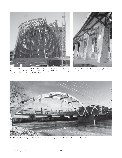

*Cathedral of Christ the Light in Oakland, CA is unlike any structure in the world. The inner chords are made with (26) 10 ¾" curved glulam ribs, roughly 100' in length and varying in depth from 30" at the base to 19 ½" at the top.* 

*Austin, Texas' Palmer Events Center features glulam trusses attached to a matrix of concrete columns.*



*The Milwaukee Street Bridge in Jefferson, Wisconsin features 3-hinged buttressed arches each with an 85-foot radius.*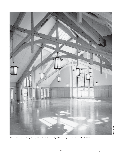

*The classic symmetry of these pitched glulam trusses frame the dining hall at Shawinigan Lake's Marion Hall in British Columbia.*